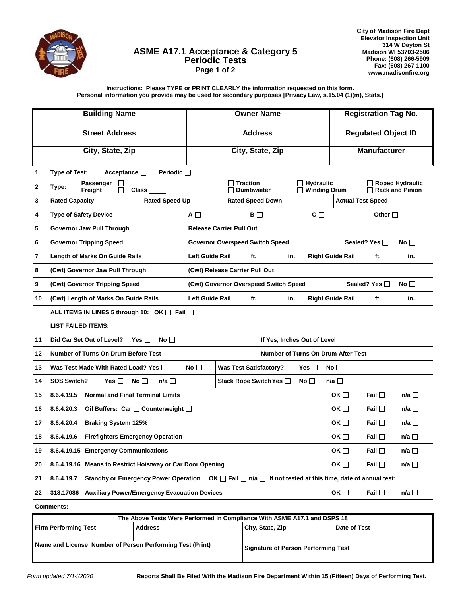

## **ASME A17.1 Acceptance & Category 5 Periodic Tests Page 1 of 2**

**City of Madison Fire Dept Elevator Inspection Unit 314 W Dayton St Madison WI 53703-2506 Phone: (608) 266-5909 Fax: (608) 267-1100 www.madisonfire.org**

**Instructions: Please TYPE or PRINT CLEARLY the information requested on this form. Personal information you provide may be used for secondary purposes [Privacy Law, s.15.04 (1)(m), Stats.]**

| <b>Building Name</b> |                                                                                                                                                | <b>Owner Name</b>                                                               |                                      |                                   | <b>Registration Tag No.</b>                      |                            |                |                 |
|----------------------|------------------------------------------------------------------------------------------------------------------------------------------------|---------------------------------------------------------------------------------|--------------------------------------|-----------------------------------|--------------------------------------------------|----------------------------|----------------|-----------------|
|                      | <b>Street Address</b>                                                                                                                          | <b>Address</b>                                                                  |                                      |                                   |                                                  | <b>Regulated Object ID</b> |                |                 |
|                      | City, State, Zip                                                                                                                               | City, State, Zip                                                                |                                      |                                   |                                                  | <b>Manufacturer</b>        |                |                 |
| 1                    | Type of Test:<br>Acceptance <sub>D</sub><br>Periodic $\Box$                                                                                    |                                                                                 |                                      |                                   |                                                  |                            |                |                 |
| $\mathbf{2}$         | Passenger<br>Type:<br>Freight<br><b>Class</b>                                                                                                  | <b>Hydraulic</b><br><b>Traction</b><br><b>Dumbwaiter</b><br><b>Winding Drum</b> |                                      |                                   | <b>Roped Hydraulic</b><br><b>Rack and Pinion</b> |                            |                |                 |
| 3                    | <b>Rated Speed Up</b><br><b>Rated Capacity</b>                                                                                                 | <b>Rated Speed Down</b>                                                         |                                      |                                   | <b>Actual Test Speed</b>                         |                            |                |                 |
| 4                    | <b>Type of Safety Device</b>                                                                                                                   | $c \Box$<br>$B$ $\Box$<br>$A \Box$                                              |                                      |                                   | Other $\square$                                  |                            |                |                 |
| 5                    | Governor Jaw Pull Through                                                                                                                      | <b>Release Carrier Pull Out</b>                                                 |                                      |                                   |                                                  |                            |                |                 |
| 6                    | <b>Governor Tripping Speed</b>                                                                                                                 | <b>Governor Overspeed Switch Speed</b>                                          |                                      |                                   |                                                  | No<br>Sealed? Yes □        |                |                 |
| 7                    | Length of Marks On Guide Rails                                                                                                                 | <b>Left Guide Rail</b>                                                          | ft.                                  | in.                               |                                                  | <b>Right Guide Rail</b>    | ft.            | in.             |
| 8                    | (Cwt) Governor Jaw Pull Through                                                                                                                |                                                                                 | (Cwt) Release Carrier Pull Out       |                                   |                                                  |                            |                |                 |
| 9                    | (Cwt) Governor Tripping Speed                                                                                                                  | (Cwt) Governor Overspeed Switch Speed                                           |                                      |                                   |                                                  |                            | Sealed? Yes □  | No <sub>1</sub> |
| 10                   | (Cwt) Length of Marks On Guide Rails                                                                                                           |                                                                                 | <b>Left Guide Rail</b><br>ft.<br>in. |                                   |                                                  | <b>Right Guide Rail</b>    | ft.            | in.             |
|                      | ALL ITEMS IN LINES 5 through 10: OK   Fail                                                                                                     |                                                                                 |                                      |                                   |                                                  |                            |                |                 |
|                      | <b>LIST FAILED ITEMS:</b>                                                                                                                      |                                                                                 |                                      |                                   |                                                  |                            |                |                 |
| 11                   | Did Car Set Out of Level?<br>Yes $\Box$<br>No $\Box$<br>If Yes, Inches Out of Level                                                            |                                                                                 |                                      |                                   |                                                  |                            |                |                 |
| 12                   | <b>Number of Turns On Drum Before Test</b><br>Number of Turns On Drum After Test                                                               |                                                                                 |                                      |                                   |                                                  |                            |                |                 |
| 13                   | No $\square$<br><b>Was Test Satisfactory?</b><br>No $\square$<br>Was Test Made With Rated Load? Yes a<br>Yes $\Box$                            |                                                                                 |                                      |                                   |                                                  |                            |                |                 |
| 14                   | <b>SOS Switch?</b><br>n/a $\Box$<br>Slack Rope Switch Yes [<br>n/a $\square$<br>Yes $\Box$<br>No $\Box$<br>No $\Box$                           |                                                                                 |                                      |                                   |                                                  |                            |                |                 |
| 15                   | 8.6.4.19.5<br><b>Normal and Final Terminal Limits</b>                                                                                          |                                                                                 |                                      |                                   |                                                  | OK $\square$               | Fail $\Box$    | $n/a \Box$      |
| 16                   | 8.6.4.20.3<br>Oil Buffers: Car   Counterweight                                                                                                 |                                                                                 |                                      |                                   |                                                  | OK $\square$               | Fail $\Box$    | n/a $\square$   |
| 17                   | 8.6.4.20.4<br><b>Braking System 125%</b>                                                                                                       |                                                                                 |                                      |                                   |                                                  | OK $\Box$                  | Fail $\Box$    | n/a $\Box$      |
| 18                   | 8.6.4.19.6<br><b>Firefighters Emergency Operation</b>                                                                                          |                                                                                 |                                      |                                   |                                                  | $OK \Box$                  | Fail $\square$ | n/a $\Box$      |
| 19                   | 8.6.4.19.15 Emergency Communications                                                                                                           |                                                                                 |                                      |                                   |                                                  | $OK \Box$                  | Fail $\square$ | n/a □           |
| 20                   | 8.6.4.19.16 Means to Restrict Hoistway or Car Door Opening                                                                                     |                                                                                 |                                      |                                   | OK $\square$                                     | Fail $\Box$                | n/a $\square$  |                 |
| 21                   | OK $\Box$ Fail $\Box$ n/a $\Box$ If not tested at this time, date of annual test:<br><b>Standby or Emergency Power Operation</b><br>8.6.4.19.7 |                                                                                 |                                      |                                   |                                                  |                            |                |                 |
| 22                   | OK $\square$<br>n/a $\square$<br><b>Auxiliary Power/Emergency Evacuation Devices</b><br>Fail $\Box$<br>318.17086                               |                                                                                 |                                      |                                   |                                                  |                            |                |                 |
| <b>Comments:</b>     |                                                                                                                                                |                                                                                 |                                      |                                   |                                                  |                            |                |                 |
|                      | The Above Tests Were Performed In Compliance With ASME A17.1 and DSPS 18                                                                       |                                                                                 |                                      |                                   |                                                  |                            |                |                 |
|                      | <b>Eirm Dorforming Toot</b><br><b>Addrocc</b>                                                                                                  |                                                                                 |                                      | $Pithy Qtn + \alpha \overline{Q}$ |                                                  | Date of Toot               |                |                 |

| The Above Tests Were Performed In Compliance With ASME A17.1 and DSPS 18 |         |                                     |              |  |  |  |
|--------------------------------------------------------------------------|---------|-------------------------------------|--------------|--|--|--|
| <b>Firm Performing Test</b>                                              | Address | City, State, Zip                    | Date of Test |  |  |  |
| Name and License Number of Person Performing Test (Print)                |         | Signature of Person Performing Test |              |  |  |  |